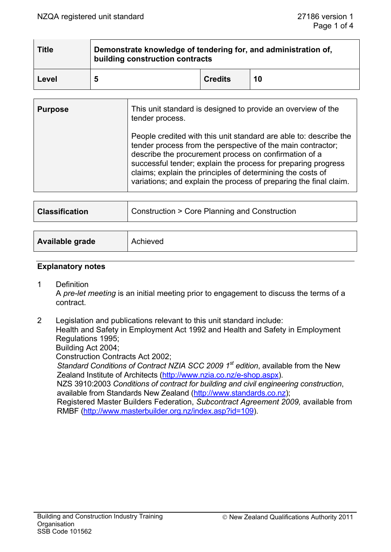$\overline{\phantom{a}}$ 

| <b>Title</b> | Demonstrate knowledge of tendering for, and administration of,<br>building construction contracts |                |    |
|--------------|---------------------------------------------------------------------------------------------------|----------------|----|
| Level        | 5                                                                                                 | <b>Credits</b> | 10 |

| <b>Purpose</b> | This unit standard is designed to provide an overview of the<br>tender process.                                                                                                                                                                                                                                                                                                               |
|----------------|-----------------------------------------------------------------------------------------------------------------------------------------------------------------------------------------------------------------------------------------------------------------------------------------------------------------------------------------------------------------------------------------------|
|                | People credited with this unit standard are able to: describe the<br>tender process from the perspective of the main contractor;<br>describe the procurement process on confirmation of a<br>successful tender; explain the process for preparing progress<br>claims; explain the principles of determining the costs of<br>variations; and explain the process of preparing the final claim. |

| <b>Classification</b> | △ Construction > Core Planning and Construction |
|-----------------------|-------------------------------------------------|
|                       |                                                 |

| Available grade | Achieved |
|-----------------|----------|
|                 |          |

## **Explanatory notes**

1 Definition

A *pre-let meeting* is an initial meeting prior to engagement to discuss the terms of a contract.

2 Legislation and publications relevant to this unit standard include: Health and Safety in Employment Act 1992 and Health and Safety in Employment

Regulations 1995; Building Act 2004;

Construction Contracts Act 2002;

*Standard Conditions of Contract NZIA SCC 2009 1st edition*, available from the New Zealand Institute of Architects (http://www.nzia.co.nz/e-shop.aspx).

 NZS 3910:2003 *Conditions of contract for building and civil engineering construction*, available from Standards New Zealand (http://www.standards.co.nz);

 Registered Master Builders Federation, *Subcontract Agreement 2009,* available from RMBF (http://www.masterbuilder.org.nz/index.asp?id=109).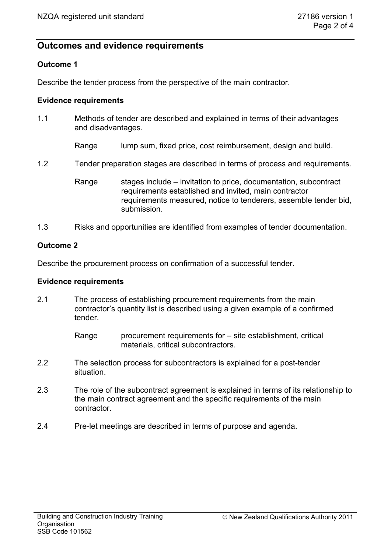# **Outcomes and evidence requirements**

## **Outcome 1**

Describe the tender process from the perspective of the main contractor.

## **Evidence requirements**

- 1.1 Methods of tender are described and explained in terms of their advantages and disadvantages.
	- Range lump sum, fixed price, cost reimbursement, design and build.
- 1.2 Tender preparation stages are described in terms of process and requirements.
	- Range stages include invitation to price, documentation, subcontract requirements established and invited, main contractor requirements measured, notice to tenderers, assemble tender bid, submission.
- 1.3 Risks and opportunities are identified from examples of tender documentation.

## **Outcome 2**

Describe the procurement process on confirmation of a successful tender.

## **Evidence requirements**

2.1 The process of establishing procurement requirements from the main contractor's quantity list is described using a given example of a confirmed tender.

> Range procurement requirements for – site establishment, critical materials, critical subcontractors.

- 2.2 The selection process for subcontractors is explained for a post-tender situation.
- 2.3 The role of the subcontract agreement is explained in terms of its relationship to the main contract agreement and the specific requirements of the main contractor.
- 2.4 Pre-let meetings are described in terms of purpose and agenda.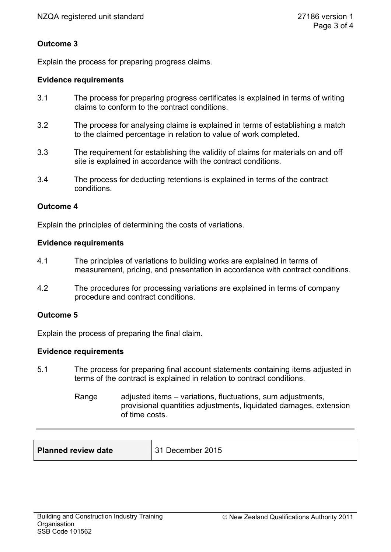## **Outcome 3**

Explain the process for preparing progress claims.

## **Evidence requirements**

- 3.1 The process for preparing progress certificates is explained in terms of writing claims to conform to the contract conditions.
- 3.2 The process for analysing claims is explained in terms of establishing a match to the claimed percentage in relation to value of work completed.
- 3.3 The requirement for establishing the validity of claims for materials on and off site is explained in accordance with the contract conditions.
- 3.4 The process for deducting retentions is explained in terms of the contract conditions.

## **Outcome 4**

Explain the principles of determining the costs of variations.

## **Evidence requirements**

- 4.1 The principles of variations to building works are explained in terms of measurement, pricing, and presentation in accordance with contract conditions.
- 4.2 The procedures for processing variations are explained in terms of company procedure and contract conditions.

## **Outcome 5**

Explain the process of preparing the final claim.

## **Evidence requirements**

- 5.1 The process for preparing final account statements containing items adjusted in terms of the contract is explained in relation to contract conditions.
	- Range adjusted items variations, fluctuations, sum adjustments, provisional quantities adjustments, liquidated damages, extension of time costs.

**Planned review date 31 December 2015**